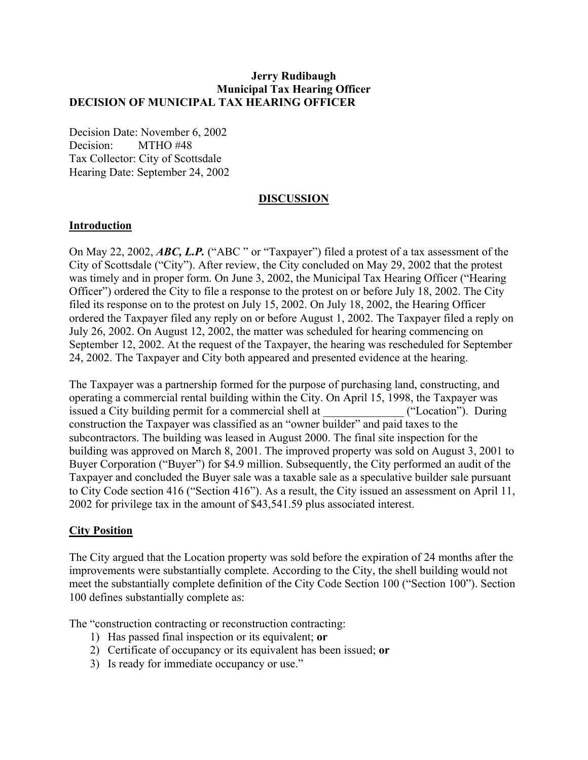## **Jerry Rudibaugh Municipal Tax Hearing Officer DECISION OF MUNICIPAL TAX HEARING OFFICER**

Decision Date: November 6, 2002 Decision: MTHO #48 Tax Collector: City of Scottsdale Hearing Date: September 24, 2002

### **DISCUSSION**

## **Introduction**

On May 22, 2002, *ABC, L.P.* ("ABC " or "Taxpayer") filed a protest of a tax assessment of the City of Scottsdale ("City"). After review, the City concluded on May 29, 2002 that the protest was timely and in proper form. On June 3, 2002, the Municipal Tax Hearing Officer ("Hearing Officer") ordered the City to file a response to the protest on or before July 18, 2002. The City filed its response on to the protest on July 15, 2002. On July 18, 2002, the Hearing Officer ordered the Taxpayer filed any reply on or before August 1, 2002. The Taxpayer filed a reply on July 26, 2002. On August 12, 2002, the matter was scheduled for hearing commencing on September 12, 2002. At the request of the Taxpayer, the hearing was rescheduled for September 24, 2002. The Taxpayer and City both appeared and presented evidence at the hearing.

The Taxpayer was a partnership formed for the purpose of purchasing land, constructing, and operating a commercial rental building within the City. On April 15, 1998, the Taxpayer was issued a City building permit for a commercial shell at ("Location"). During construction the Taxpayer was classified as an "owner builder" and paid taxes to the subcontractors. The building was leased in August 2000. The final site inspection for the building was approved on March 8, 2001. The improved property was sold on August 3, 2001 to Buyer Corporation ("Buyer") for \$4.9 million. Subsequently, the City performed an audit of the Taxpayer and concluded the Buyer sale was a taxable sale as a speculative builder sale pursuant to City Code section 416 ("Section 416"). As a result, the City issued an assessment on April 11, 2002 for privilege tax in the amount of \$43,541.59 plus associated interest.

### **City Position**

The City argued that the Location property was sold before the expiration of 24 months after the improvements were substantially complete. According to the City, the shell building would not meet the substantially complete definition of the City Code Section 100 ("Section 100"). Section 100 defines substantially complete as:

The "construction contracting or reconstruction contracting:

- 1) Has passed final inspection or its equivalent; **or**
- 2) Certificate of occupancy or its equivalent has been issued; **or**
- 3) Is ready for immediate occupancy or use."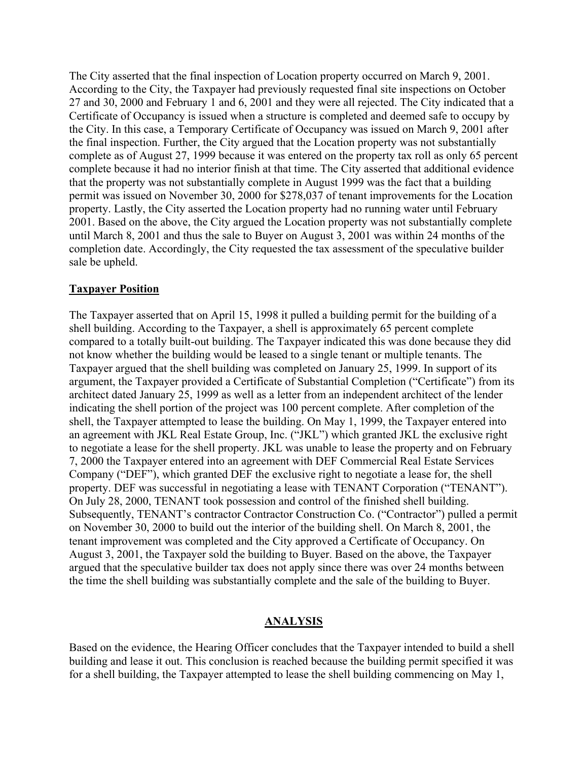The City asserted that the final inspection of Location property occurred on March 9, 2001. According to the City, the Taxpayer had previously requested final site inspections on October 27 and 30, 2000 and February 1 and 6, 2001 and they were all rejected. The City indicated that a Certificate of Occupancy is issued when a structure is completed and deemed safe to occupy by the City. In this case, a Temporary Certificate of Occupancy was issued on March 9, 2001 after the final inspection. Further, the City argued that the Location property was not substantially complete as of August 27, 1999 because it was entered on the property tax roll as only 65 percent complete because it had no interior finish at that time. The City asserted that additional evidence that the property was not substantially complete in August 1999 was the fact that a building permit was issued on November 30, 2000 for \$278,037 of tenant improvements for the Location property. Lastly, the City asserted the Location property had no running water until February 2001. Based on the above, the City argued the Location property was not substantially complete until March 8, 2001 and thus the sale to Buyer on August 3, 2001 was within 24 months of the completion date. Accordingly, the City requested the tax assessment of the speculative builder sale be upheld.

## **Taxpayer Position**

The Taxpayer asserted that on April 15, 1998 it pulled a building permit for the building of a shell building. According to the Taxpayer, a shell is approximately 65 percent complete compared to a totally built-out building. The Taxpayer indicated this was done because they did not know whether the building would be leased to a single tenant or multiple tenants. The Taxpayer argued that the shell building was completed on January 25, 1999. In support of its argument, the Taxpayer provided a Certificate of Substantial Completion ("Certificate") from its architect dated January 25, 1999 as well as a letter from an independent architect of the lender indicating the shell portion of the project was 100 percent complete. After completion of the shell, the Taxpayer attempted to lease the building. On May 1, 1999, the Taxpayer entered into an agreement with JKL Real Estate Group, Inc. ("JKL") which granted JKL the exclusive right to negotiate a lease for the shell property. JKL was unable to lease the property and on February 7, 2000 the Taxpayer entered into an agreement with DEF Commercial Real Estate Services Company ("DEF"), which granted DEF the exclusive right to negotiate a lease for, the shell property. DEF was successful in negotiating a lease with TENANT Corporation ("TENANT"). On July 28, 2000, TENANT took possession and control of the finished shell building. Subsequently, TENANT's contractor Contractor Construction Co. ("Contractor") pulled a permit on November 30, 2000 to build out the interior of the building shell. On March 8, 2001, the tenant improvement was completed and the City approved a Certificate of Occupancy. On August 3, 2001, the Taxpayer sold the building to Buyer. Based on the above, the Taxpayer argued that the speculative builder tax does not apply since there was over 24 months between the time the shell building was substantially complete and the sale of the building to Buyer.

### **ANALYSIS**

Based on the evidence, the Hearing Officer concludes that the Taxpayer intended to build a shell building and lease it out. This conclusion is reached because the building permit specified it was for a shell building, the Taxpayer attempted to lease the shell building commencing on May 1,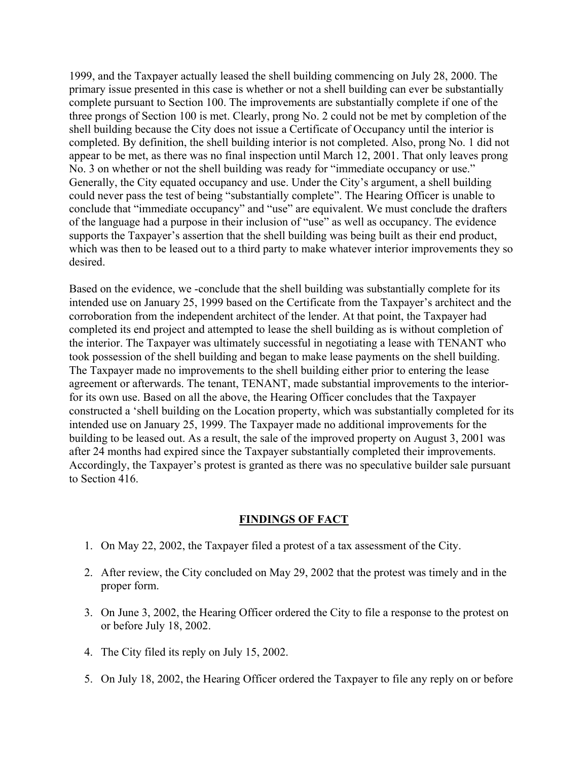1999, and the Taxpayer actually leased the shell building commencing on July 28, 2000. The primary issue presented in this case is whether or not a shell building can ever be substantially complete pursuant to Section 100. The improvements are substantially complete if one of the three prongs of Section 100 is met. Clearly, prong No. 2 could not be met by completion of the shell building because the City does not issue a Certificate of Occupancy until the interior is completed. By definition, the shell building interior is not completed. Also, prong No. 1 did not appear to be met, as there was no final inspection until March 12, 2001. That only leaves prong No. 3 on whether or not the shell building was ready for "immediate occupancy or use." Generally, the City equated occupancy and use. Under the City's argument, a shell building could never pass the test of being "substantially complete". The Hearing Officer is unable to conclude that "immediate occupancy" and "use" are equivalent. We must conclude the drafters of the language had a purpose in their inclusion of "use" as well as occupancy. The evidence supports the Taxpayer's assertion that the shell building was being built as their end product, which was then to be leased out to a third party to make whatever interior improvements they so desired.

Based on the evidence, we -conclude that the shell building was substantially complete for its intended use on January 25, 1999 based on the Certificate from the Taxpayer's architect and the corroboration from the independent architect of the lender. At that point, the Taxpayer had completed its end project and attempted to lease the shell building as is without completion of the interior. The Taxpayer was ultimately successful in negotiating a lease with TENANT who took possession of the shell building and began to make lease payments on the shell building. The Taxpayer made no improvements to the shell building either prior to entering the lease agreement or afterwards. The tenant, TENANT, made substantial improvements to the interiorfor its own use. Based on all the above, the Hearing Officer concludes that the Taxpayer constructed a 'shell building on the Location property, which was substantially completed for its intended use on January 25, 1999. The Taxpayer made no additional improvements for the building to be leased out. As a result, the sale of the improved property on August 3, 2001 was after 24 months had expired since the Taxpayer substantially completed their improvements. Accordingly, the Taxpayer's protest is granted as there was no speculative builder sale pursuant to Section 416.

### **FINDINGS OF FACT**

- 1. On May 22, 2002, the Taxpayer filed a protest of a tax assessment of the City.
- 2. After review, the City concluded on May 29, 2002 that the protest was timely and in the proper form.
- 3. On June 3, 2002, the Hearing Officer ordered the City to file a response to the protest on or before July 18, 2002.
- 4. The City filed its reply on July 15, 2002.
- 5. On July 18, 2002, the Hearing Officer ordered the Taxpayer to file any reply on or before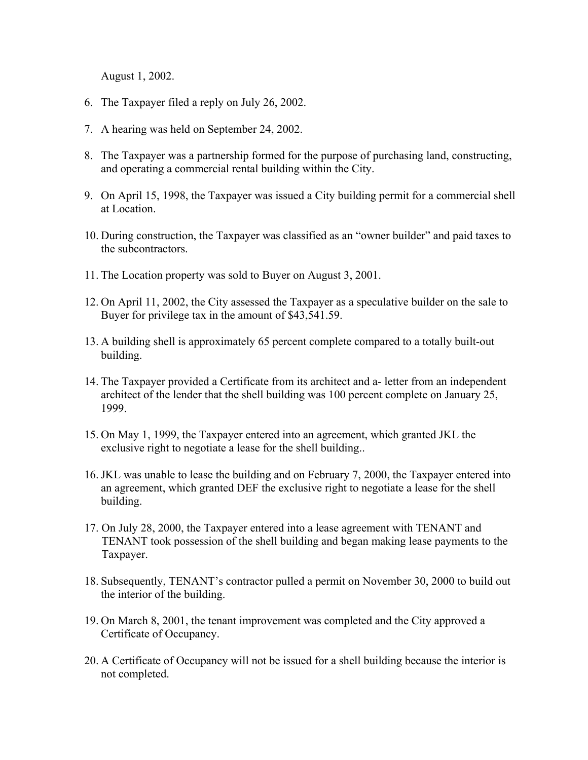August 1, 2002.

- 6. The Taxpayer filed a reply on July 26, 2002.
- 7. A hearing was held on September 24, 2002.
- 8. The Taxpayer was a partnership formed for the purpose of purchasing land, constructing, and operating a commercial rental building within the City.
- 9. On April 15, 1998, the Taxpayer was issued a City building permit for a commercial shell at Location.
- 10. During construction, the Taxpayer was classified as an "owner builder" and paid taxes to the subcontractors.
- 11. The Location property was sold to Buyer on August 3, 2001.
- 12. On April 11, 2002, the City assessed the Taxpayer as a speculative builder on the sale to Buyer for privilege tax in the amount of \$43,541.59.
- 13. A building shell is approximately 65 percent complete compared to a totally built-out building.
- 14. The Taxpayer provided a Certificate from its architect and a- letter from an independent architect of the lender that the shell building was 100 percent complete on January 25, 1999.
- 15. On May 1, 1999, the Taxpayer entered into an agreement, which granted JKL the exclusive right to negotiate a lease for the shell building..
- 16. JKL was unable to lease the building and on February 7, 2000, the Taxpayer entered into an agreement, which granted DEF the exclusive right to negotiate a lease for the shell building.
- 17. On July 28, 2000, the Taxpayer entered into a lease agreement with TENANT and TENANT took possession of the shell building and began making lease payments to the Taxpayer.
- 18. Subsequently, TENANT's contractor pulled a permit on November 30, 2000 to build out the interior of the building.
- 19. On March 8, 2001, the tenant improvement was completed and the City approved a Certificate of Occupancy.
- 20. A Certificate of Occupancy will not be issued for a shell building because the interior is not completed.